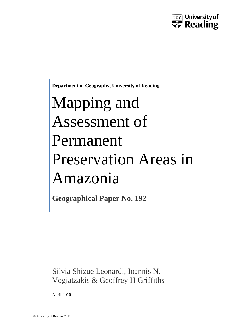

**Department of Geography, University of Reading**

# Mapping and Assessment of Permanent Preservation Areas in Amazonia

**Geographical Paper No. 192**

Silvia Shizue Leonardi, Ioannis N. Vogiatzakis & Geoffrey H Griffiths

April 2010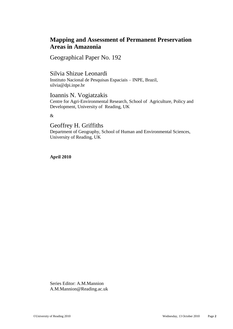### **Mapping and Assessment of Permanent Preservation Areas in Amazonia**

Geographical Paper No. 192

Silvia Shizue Leonardi

Instituto Nacional de Pesquisas Espaciais – INPE, Brazil, silvia@dpi.inpe.br

Ioannis N. Vogiatzakis Centre for Agri-Environmental Research, School of Agriculture, Policy and Development, University of Reading, UK

&

Geoffrey H. Griffiths

Department of Geography, School of Human and Environmental Sciences, University of Reading, UK

**April 2010**

Series Editor: A.M.Mannion [A.M.Mannion@Reading.ac.uk](mailto:A.M.Mannion@Reading.ac.uk)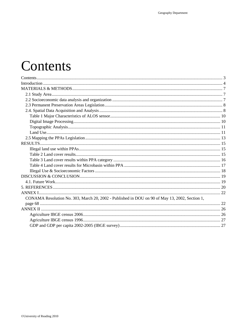# <span id="page-2-0"></span>Contents

| CONAMA Resolution No. 303, March 20, 2002 - Published in DOU on 90 of May 13, 2002, Section 1, |  |
|------------------------------------------------------------------------------------------------|--|
|                                                                                                |  |
|                                                                                                |  |
|                                                                                                |  |
|                                                                                                |  |
|                                                                                                |  |
|                                                                                                |  |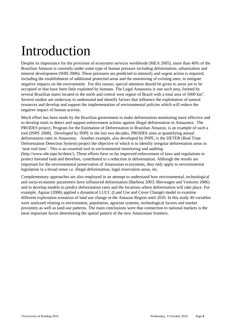# <span id="page-3-0"></span>Introduction

Despite its importance for the provision of ecosystem services worldwide (MEA 2005), more than 40% of the Brazilian Amazon is currently under some type of human pressure including deforestation, urbanisation and mineral development (WRI 2006). These pressures are predicted to intensify and urgent action is required, including the establishment of additional protected areas and the monitoring of existing ones, to mitigate negative impacts on the environment. For this reason, special attention should be given to areas yet to be occupied or that have been little exploited by humans. The Legal Amazonia is one such area, formed by several Brazilian states located in the north and central west region of Brazil with a total area of 5000  $\text{km}^2$ . Several studies are underway to understand and identify factors that influence the exploitation of natural resources and develop and support the implementation of environmental policies which will reduce the negative impact of human activity.

Much effort has been made by the Brazilian government to make deforestation monitoring more effective and to develop tools to detect and support enforcement actions against illegal deforestation in Amazonia. The PRODES project, Program for the Estimation of Deforestation in Brazilian Amazon, is an example of such a tool (INPE 2008). Developed by INPE in the last two decades, PRODES aims at quantifying annual deforestation rates in Amazonia. Another example, also developed by INPE, is the DETER (Real Time Deforestation Detection System) project the objective of which is to identify irregular deforestation areas in 'near real time'. This is an essential tool in environmental monitoring and auditing [\(http://www.obt.inpe.br/deter/\)](http://www.obt.inpe.br/deter/). These efforts have so far improved enforcement of laws and regulations to protect forested land and therefore, contributed to a reduction in deforestation. Although the results are important for the environmental preservation of Amazonian ecosystems, they only apply to environmental legislation in a broad sense i.e. illegal deforestation, legal reservation areas, etc.

Complementary approaches are also employed in an attempt to understand how environmental, technological and socio-economic parameters have influenced deforestation (Barbosa 2003; Bierwagen and Ventorin 2006) and to develop models to predict deforestation rates and the locations where deforestation will take place. For example, Aguiar (2006) applied a dynamical LUCC (Land Use and Cover Change) model to examine different exploration scenarios of land use change in the Amazon Region until 2020. In this study 40 variables were analyzed relating to environment, population, agrarian systems, technological factors and market proximity as well as land-use patterns. The main conclusions were that connection to national markets is the most important factor determining the spatial pattern of the new Amazonian frontiers.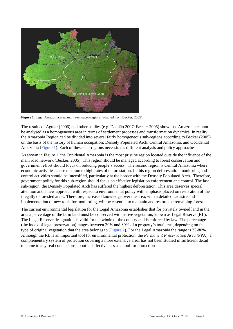

**Figure 1.** Legal Amazonia area and three macro-regions (adapted from Becker, 2005)

The results of Aguiar (2006) and other studies (e.g. Damião 2007; Becker 2005) show that Amazonia cannot be analysed as a homogeneous area in terms of settlement processes and transformation dynamics. In reality the Amazonia Region can be divided into several fairly homogeneous sub-regions according to Becker (2005) on the basis of the history of human occupation: Densely Populated Arch, Central Amazonia, and Occidental Amazonia (Figure 1). Each of these sub-regions necessitates different analysis and policy approaches.

As shown in Figure 1, the Occidental Amazonia is the most pristine region located outside the influence of the main road network (Becker, 2005). This region should be managed according to forest conservation and government effort should focus on reducing people's access. The second region is Central Amazonia where economic activities cause medium to high rates of deforestation. In this region deforestation monitoring and control activities should be intensified, particularly at the border with the Densely Populated Arch. Therefore, government policy for this sub-region should focus on effective legislation enforcement and control. The last sub-region, the Densely Populated Arch has suffered the highest deforestation. This area deserves special attention and a new approach with respect to environmental policy with emphasis placed on restoration of the illegally deforested areas. Therefore, increased knowledge over the area, with a detailed cadastre and implementation of new tools for monitoring, will be essential to maintain and restore the remaining forest.

The current environmental legislation for the Legal Amazonia establishes that for privately owned land in the area a percentage of the farm land must be conserved with native vegetation, known as Legal Reserve (RL). The Legal Reserve designation is valid for the whole of the country and is enforced by law. The percentage (the index of legal preservation) ranges between 20% and 80% of a property's total area, depending on the type of original vegetation that the area belongs to (Figure 2). For the Legal Amazonia the range is 35-80%. Although the RL is an important tool for environmental protection, the *Permanent Preservation Area* (PPA), a complementary system of protection covering a more extensive area, has not been studied in sufficient detail to come to any real conclusions about its effectiveness as a tool for protection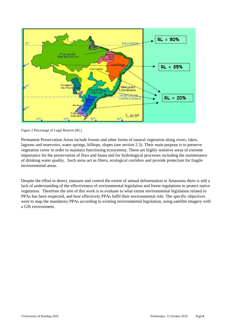

Figure 2 Percentage of Legal Reserve (RL)

Permanent Preservation Areas include forests and other forms of natural vegetation along rivers, lakes, lagoons and reservoirs, water springs, hilltops, slopes (see section 2.3). Their main purpose is to preserve vegetation cover in order to maintain functioning ecosystems. These are highly sensitive areas of extreme importance for the preservation of flora and fauna and for hydrological processes including the maintenance of drinking water quality. Such areas act as filters, ecological corridors and provide protection for fragile environmental areas.

Despite the effort to detect, measure and control the extent of annual deforestation in Amazonia there is still a lack of understanding of the effectiveness of environmental legislation and forest regulations to protect native vegetation. Therefore the *aim* of this work is to evaluate to what extent environmental legislation related to PPAs has been respected, and how effectively PPAs fulfil their environmental role. The specific objectives were to map the mandatory PPAs according to existing environmental legislation, using satellite imagery with a GIS environment.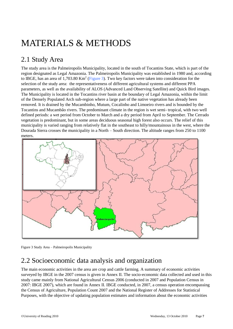# <span id="page-6-0"></span>MATERIALS & METHODS

## <span id="page-6-1"></span>2.1 Study Area

The study area is the Palmeiropolis Municipality, located in the south of Tocantins State, which is part of the region designated as Legal Amazonia. The Palmeiropolis Municipality was established in 1980 and, according to IBGE, has an area of 1,703.80 Km<sup>2</sup> (Figure 3). Two key factors were taken into consideration for the selection of the study area: the representativeness of different agricultural systems and different PPA parameters, as well as the availability of ALOS (Advanced Land Observing Satellite) and Quick Bird images. The Municipality is located in the Tocantins river basin at the boundary of Legal Amazonia, within the limit of the Densely Populated Arch sub-region where a large part of the native vegetation has already been removed. It is drained by the Mucambinho, Mutum, Cocalinho and Limoeiro rivers and is bounded by the Tocantins and Mucambão rivers. The predominant climate in the region is wet semi- tropical, with two well defined periods: a wet period from October to March and a dry period from April to September. The Cerrado vegetation is predominant, but in some areas deciduous seasonal high forest also occurs. The relief of this municipality is varied ranging from relatively flat in the southeast to hilly/mountainous in the west, where the Dourada Sierra crosses the municipality in a North – South direction. The altitude ranges from 250 to 1100 meters.



Figure 3 Study Area – Palmeiropolis Municipality

### <span id="page-6-2"></span>2.2 Socioeconomic data analysis and organization

The main economic activities in the area are crop and cattle farming. A summary of economic activities surveyed by IBGE in the 2007 census is given in Annex II. The socio-economic data collected and used in this study came mainly from National Agricultural Census 2006 (conducted in 2007 and Population Census in 2007: IBGE 2007), which are found in Annex II. IBGE conducted, in 2007, a census operation encompassing the Census of Agriculture, Population Count 2007 and the National Register of Addresses for Statistical Purposes, with the objective of updating population estimates and information about the economic activities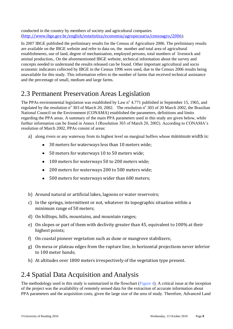conducted in the country by members of society and agricultural companies (<http://www.ibge.gov.br/english/estatistica/economia/agropecuaria/censoagro/2006>).

In 2007 IBGE published the preliminary results for the Census of Agriculture 2006. The preliminary results are available on the IBGE website and refer to data on, the number and total area of agricultural establishments, use of land, degree of mechanisation, employed persons, total numbers of livestock and animal production,. On the aforementioned IBGE website, technical information about the survey and concepts needed to understand the results released can be found. Other important agricultural and socio economic indicators collected by IBGE in the Census 1996 were used, due to the Census 2006 results being unavailable for this study. This information refers to the number of farms that received technical assistance and the percentage of small, medium and large farms.

## <span id="page-7-0"></span>2.3 Permanent Preservation Areas Legislation

The PPAs environmental legislation was established by Law n° 4.771 published in September 15, 1965, and regulated by the resolution n° 303 of March 20, 2002. The resolution n° 303 of 20 March 2002, the Brazilian National Council on the Environment (CONAMA) established the parameters, definitions and limits regarding the PPA areas. A summary of the main PPA parameters used in this study are given below, while further information can be found in Annex I (Resolution 303 of March 20, 2002). According to CONAMA's resolution of March 2002, PPAs consist of areas:

- a) along rivers or any waterway from its highest level on marginal buffers whose minimum width is:
	- 30 meters for waterways less than 10 meters wide;
	- 50 meters for waterways 10 to 50 meters wide;
	- $\bullet$ 100 meters for waterways 50 to 200 meters wide;
	- 200 meters for waterways 200 to 500 meters wide;  $\bullet$
	- 500 meters for waterways wider than 600 meters;  $\bullet$
- b) Around natural or artificial lakes, lagoons or water reservoirs;
- c) In the springs, intermittent or not, whatever its topographic situation within a minimum range of 50 meters;
- d) On hilltops, hills, mountains, and mountain ranges;
- e) On slopes or part of them with declivity greater than 45, equivalent to 100% at their highest points;
- f) On coastal pioneer vegetation such as dune or mangrove stabilizers;
- g) On mesa or plateau edges from the rupture line, in horizontal projections never inferior to 100 meter bands;
- h) At altitudes over 1800 meters irrespectively of the vegetation type present.

## <span id="page-7-1"></span>2.4 Spatial Data Acquisition and Analysis

The methodology used in this study is summarized in the flowchart (Figure 4). A critical issue at the inception of the project was the availability of remotely sensed data for the extraction of accurate information about PPA parameters and the acquisition costs, given the large size of the area of study. Therefore, Advanced Land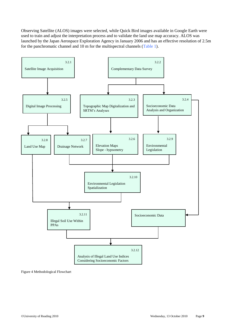Observing Satellite (ALOS) images were selected, while Quick Bird images available in Google Earth were used to train and adjust the interpretation process and to validate the land use map accuracy. ALOS was launched by the Japan Aerospace Exploration Agency in January 2006 and has an effective resolution of 2.5m for the panchromatic channel and 10 m for the multispectral channels (Table 1).



Figure 4 Methodological Flowchart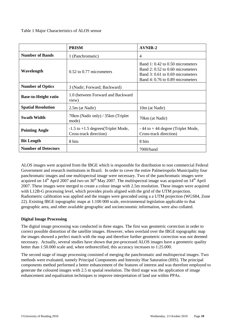#### <span id="page-9-0"></span>Table 1 Major Characteristics of ALOS sensor

|                             | <b>PRISM</b>                                                      | <b>AVNIR-2</b>                                                                                                                               |
|-----------------------------|-------------------------------------------------------------------|----------------------------------------------------------------------------------------------------------------------------------------------|
| <b>Number of Bands</b>      | 1 (Panchromatic)                                                  | 4                                                                                                                                            |
| Wavelength                  | $0.52$ to $0.77$ micrometers                                      | Band 1: 0.42 to 0.50 micrometers<br>Band 2: 0.52 to 0.60 micrometers<br>Band 3: 0.61 to 0.69 micrometers<br>Band 4: 0.76 to 0.89 micrometers |
| <b>Number of Optics</b>     | 3 (Nadir; Forward; Backward)                                      |                                                                                                                                              |
| <b>Base-to-Height ratio</b> | 1.0 (between Forward and Backward<br>view)                        |                                                                                                                                              |
| <b>Spatial Resolution</b>   | 2.5m (at Nadir)                                                   | 10m (at Nadir)                                                                                                                               |
| <b>Swath Width</b>          | 70km (Nadir only) / 35km (Triplet<br>mode)                        | 70km (at Nadir)                                                                                                                              |
| <b>Pointing Angle</b>       | $-1.5$ to $+1.5$ degrees (Triplet Mode,<br>Cross-track direction) | $-44$ to $+44$ degree (Triplet Mode,<br>Cross-track direction)                                                                               |
| <b>Bit Length</b>           | 8 bits                                                            | 8 bits                                                                                                                                       |
| <b>Number of Detectors</b>  |                                                                   | 7000/band                                                                                                                                    |

ALOS images were acquired from the IBGE which is responsible for distribution to non commercial Federal Government and research institutions in Brazil. In order to cover the entire Palmeiropolis Municipality four panchromatic images and one multispectral image were necessary. Two of the panchromatic images were acquired on  $14<sup>th</sup>$  April 2007 and two on 30<sup>th</sup> May 2007. The multispectral image was acquired on  $14<sup>th</sup>$  April 2007. These images were merged to create a colour image with 2.5m resolution. These images were acquired with L12B-G processing level, which provides pixels aligned with the grid of the UTM projection. Radiometric calibration was applied and the images were geocoded using a a UTM projection (WGS84, Zone 22). Existing IBGE topographic maps at 1:100 000 scale, environmental legislation applicable to that geographic area, and other available geographic and socioeconomic information, were also collated.

#### <span id="page-9-1"></span>**Digital Image Processing**

The digital image processing was conducted in three stages. The first was geometric correction in order to correct possible distortion of the satellite images. However, when overlaid over the IBGE topographic map the images showed a perfect match with the map and therefore further geometric correction was not deemed necessary. Actually, several studies have shown that pre-processed ALOS images have a geometric quality better than 1:50.000 scale and, when orthorectified, this accuracy increases to 1:25.000.

The second stage of image processing consisted of merging the panchromatic and multispectral images. Two methods were evaluated, namely Principal Components and Intensity Hue Saturation (IHS). The principal components method performed a better enhancement of the features of interest and was therefore employed to generate the coloured images with 2.5 m spatial resolution. The third stage was the application of image enhancement and equalization techniques to improve interpretation of land use within PPAs.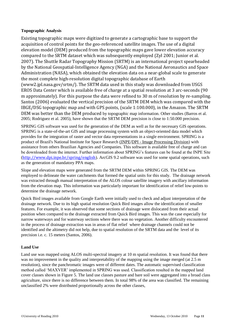#### <span id="page-10-0"></span>**Topographic Analysis**

Existing topographic maps were digitized to generate a cartographic base to support the acquisition of control points for the geo-referenced satellite images. The use of a digital elevation model (DEM) produced from the topographic maps gave lower elevation accuracy compared to the SRTM dataset which was subsequently employed (Zyl 2001; Junior et al. 2007). The Shuttle Radar Topography Mission (SRTM) is an international project spearheaded by the National Geospatial-Intelligence Agency (NGA) and the National Aeronautics and Space Administration (NASA), which obtained the elevation data on a near-global scale to generate the most complete high-resolution digital topographic database of Earth (www2.jpl.nasa.gov/srtm/). The SRTM data used in this study was downloaded from USGS EROS Data Center which is available free of charge at a spatial resolution at 3 arc-seconds (90 m approximately). For this purpose the data were refined to 30 m of resolution by re-sampling. Santos (2006) evaluated the vertical precision of the SRTM DEM which was compared with the IBGE/DSG topographic map and with GPS points, (scale 1:100.000), in the Amazon. The SRTM DEM was better than the DEM produced by topographic map information. Other studies (Barros et al. 2005; Rodriguez et al. 2005), have shown that the SRTM DEM precision is close to 1:50.000 precision.

SPRING GIS software was used for the generation of the DEM as well as for the necessary GIS operations. SPRING is a state-of-the-art GIS and image processing system with an object-oriented data model which provides for the integration of raster and vector data representations in a single environment. SPRING is a product of Brazil's National Institute for Space Research [\(INPE/](http://www.inpe.br/)DPI - Image Processing Division) with assistance from others Brazilian Agencies and Companies. This software is available free of charge and can be downloaded from the internet. Further information about SPRING's features can be found at the INPE Site (<http://www.dpi.inpe.br/spring/english>). ArcGIS 9.2 software was used for some spatial operations, such as the generation of mandatory PPA maps.

Slope and elevation maps were generated from the SRTM DEM within SPRING GIS. The DEM was employed to delineate the water catchments that formed the spatial units for this study. The drainage network was extracted through manual interpretation of the ALOS colour satellite imagery with ancillary information from the elevation map. This information was particularly important for identification of relief low-points to determine the drainage network.

Quick Bird images available from Google Earth were initially used to check and adjust interpretation of the drainage network. Due to its high spatial resolution Quick Bird images allow the identification of smaller features. For example, it was observed that some sections of drainage were dislocated from their actual position when compared to the drainage extracted from Quick Bird images. This was the case especially for narrow waterways and for waterway sections where there was no vegetation. Another difficulty encountered in the process of drainage extraction was in areas of flat relief where drainage channels could not be identified and the altimetry did not help, due to spatial resolution of the SRTM data and the level of its precision i.e. c. 15 meters (Santos, 2006).

#### <span id="page-10-1"></span>**Land Use**

Land use was mapped using ALOS multi-spectral imagery at 10 m spatial resolution. It was found that there was no improvement in the quality and interpretability of the mapping using the image merged (at 2.5 m resolution), since the panchromatic images were of different dates. The automatic supervised classification method called 'MAXVER' implemented in SPRING was used. Classification resulted in the mapped land cover classes shown in Figure 5. The land use classes pasture and bare soil were aggregated into a broad class agriculture, since there is no difference between them. In total 98% of the area was classified. The remaining unclassified 2% were distributed proportionally across the other classes,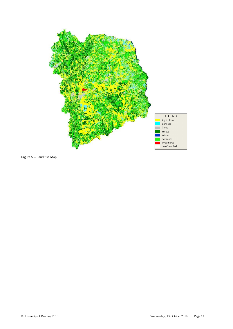

Figure 5 – Land use Map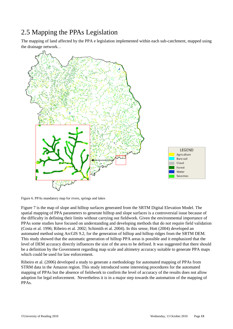## <span id="page-12-0"></span>2.5 Mapping the PPAs Legislation

The mapping of land affected by the PPA e legislation implemented within each sub-catchment, mapped using the drainage network. .



Figure 6. PPAs mandatory map for rivers, springs and lakes

Figure 7 is the map of slope and hilltop surfaces generated from the SRTM Digital Elevation Model. The spatial mapping of PPA parameters to generate hilltop and slope surfaces is a controversial issue because of the difficulty in defining their limits without carrying out fieldwork. Given the environmental importance of PPAs some studies have focused on understanding and developing methods that do not require field validation (Costa et al. 1996; Ribeiro et al. 2002; Schimith et al. 2004). In this sense, Hott (2004) developed an automated method using ArcGIS 9.2, for the generation of hilltop and hilltop ridges from the SRTM DEM. This study showed that the automatic generation of hilltop PPA areas is possible and it emphasized that the level of DEM accuracy directly influences the size of the area to be defined. It was suggested that there should be a definition by the Government regarding map scale and altimetry accuracy suitable to generate PPA maps which could be used for law enforcement.

Ribeiro et al. (2006) developed a study to generate a methodology for automated mapping of PPAs from STRM data in the Amazon region. This study introduced some interesting procedures for the automated mapping of PPAs but the absence of fieldwork to confirm the level of accuracy of the results does not allow adoption for legal enforcement. Nevertheless it is in a major step towards the automation of the mapping of PPAs.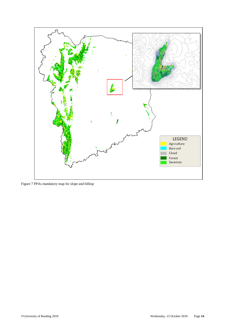

Figure 7 PPAs mandatory map for slope and hilltop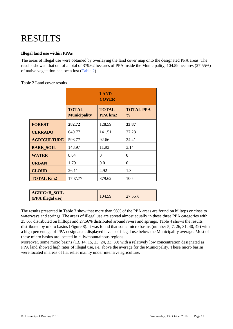# <span id="page-14-0"></span>RESULTS

#### <span id="page-14-1"></span>**Illegal land use within PPAs**

The areas of illegal use were obtained by overlaying the land cover map onto the designated PPA areas. The results showed that out of a total of 379.62 hectares of PPA inside the Municipality, 104.59 hectares (27.55%) of native vegetation had been lost (Table 2).

#### <span id="page-14-2"></span>Table 2 Land cover results

|                    |                                     | <b>LAND</b><br><b>COVER</b> |                                   |
|--------------------|-------------------------------------|-----------------------------|-----------------------------------|
|                    | <b>TOTAL</b><br><b>Municipality</b> | <b>TOTAL</b><br>PPA km2     | <b>TOTAL PPA</b><br>$\frac{0}{0}$ |
| <b>FOREST</b>      | 282.72                              | 128.59                      | 33.87                             |
| <b>CERRADO</b>     | 640.77                              | 141.51                      | 37.28                             |
| <b>AGRICULTURE</b> | 598.77                              | 92.66                       | 24.41                             |
| <b>BARE_SOIL</b>   | 148.97                              | 11.93                       | 3.14                              |
| <b>WATER</b>       | 8.64                                | 0                           | 0                                 |
| <b>URBAN</b>       | 1.79                                | 0.01                        | 0                                 |
| <b>CLOUD</b>       | 26.11                               | 4.92                        | 1.3                               |
| <b>TOTAL Km2</b>   | 1707.77                             | 379.62                      | 100                               |

The results presented in Table 3 show that more than 98% of the PPA areas are found on hilltops or close to waterways and springs. The areas of illegal use are spread almost equally in these three PPA categories with 25.6% distributed on hilltops and 27.56% distributed around rivers and springs. Table 4 shows the results distributed by micro basins (Figure 8). It was found that some micro basins (number 5, 7, 26, 31, 40, 49) with a high percentage of PPA designated, displayed levels of illegal use below the Municipality average. Most of these micro basins are located in hilly/mountainous regions.

Moreover, some micro basins (13, 14, 15, 23, 24, 33, 39) with a relatively low concentration designated as PPA land showed high rates of illegal use, i.e. above the average for the Municipality. These micro basins were located in areas of flat relief mainly under intensive agriculture.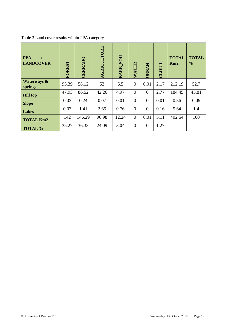<span id="page-15-0"></span>Table 3 Land cover results within PPA category

| <b>PPA</b><br><b>LANDCOVER</b>    | FOREST | <b>CERRADO</b> | <b>AGRICULTURE</b> | <b>BARE SOIL</b> | WATER          | <b>URBAN</b>   | CLOUD | <b>TOTAL</b><br>Km2 | <b>TOTAL</b><br>$\frac{0}{0}$ |
|-----------------------------------|--------|----------------|--------------------|------------------|----------------|----------------|-------|---------------------|-------------------------------|
| <b>Waterways &amp;</b><br>springs | 93.39  | 58.12          | 52                 | 6.5              | $\overline{0}$ | 0.01           | 2.17  | 212.19              | 52.7                          |
| <b>Hill top</b>                   | 47.93  | 86.52          | 42.26              | 4.97             | $\overline{0}$ | $\theta$       | 2.77  | 184.45              | 45.81                         |
| <b>Slope</b>                      | 0.03   | 0.24           | 0.07               | 0.01             | $\overline{0}$ | $\overline{0}$ | 0.01  | 0.36                | 0.09                          |
| Lakes                             | 0.03   | 1.41           | 2.65               | 0.76             | $\overline{0}$ | $\overline{0}$ | 0.16  | 5.64                | 1.4                           |
| <b>TOTAL Km2</b>                  | 142    | 146.29         | 96.98              | 12.24            | $\overline{0}$ | 0.01           | 5.11  | 402.64              | 100                           |
| <b>TOTAL %</b>                    | 35.27  | 36.33          | 24.09              | 3.04             | $\overline{0}$ | $\overline{0}$ | 1.27  |                     |                               |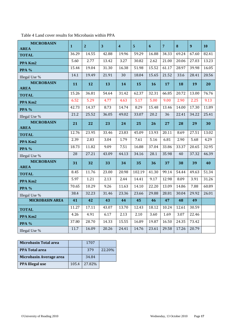| <b>MICROBASIN</b><br><b>AREA</b> | $\mathbf{1}$ | $\overline{2}$ | 3     | $\overline{\mathbf{4}}$ | $\overline{5}$ | $\boldsymbol{6}$ | $\overline{7}$ | $\bf{8}$ | 9     | 10    |
|----------------------------------|--------------|----------------|-------|-------------------------|----------------|------------------|----------------|----------|-------|-------|
| <b>TOTAL</b>                     | 36.29        | 14.55          | 42.88 | 19.96                   | 59.29          | 16.88            | 34.33          | 69.24    | 67.60 | 82.41 |
| PPA Km2                          | 5.60         | 2.77           | 13.42 | 3.27                    | 30.82          | 2.62             | 21.00          | 20.06    | 27.03 | 13.23 |
| PPA %                            | 15.44        | 19.04          | 31.30 | 16.38                   | 51.98          | 15.52            | 61.17          | 28.97    | 39.98 | 16.05 |
| Illegal Use %                    | 14.1         | 19.49          | 21.91 | 30                      | 18.04          | 15.65            | 21.52          | 33.6     | 28.41 | 20.56 |
| <b>MICROBASIN</b><br><b>AREA</b> | 11           | 12             | 13    | 14                      | 15             | 16               | 17             | 18       | 19    | 20    |
| <b>TOTAL</b>                     | 15.26        | 36.81          | 54.64 | 31.42                   | 62.37          | 32.31            | 66.85          | 20.72    | 13.00 | 76.76 |
| PPA Km2                          | 6.52         | 5.29           | 4.77  | 4.63                    | 5.17           | 5.00             | 9.00           | 2.90     | 2.25  | 9.13  |
| <b>PPA %</b>                     | 42.73        | 14.37          | 8.73  | 14.74                   | 8.29           | 15.48            | 13.46          | 14.00    | 17.30 | 11.89 |
| Illegal Use %                    | 21.2         | 25.52          | 36.05 | 49.02                   | 33.07          | 20.2             | 36             | 22.41    | 34.22 | 25.41 |
| <b>MICROBASIN</b><br><b>AREA</b> | 21           | 22             | 23    | 24                      | 25             | 26               | 27             | 28       | 29    | 30    |
| <b>TOTAL</b>                     | 12.76        | 23.95          | 33.46 | 23.83                   | 45.09          | 13.93            | 20.11          | 8.69     | 27.51 | 13.02 |
| PPA Km2                          | 2.39         | 2.83           | 3.04  | 1.79                    | 7.61           | 5.16             | 6.81           | 2.90     | 5.68  | 4.29  |
| PPA %                            | 18.73        | 11.82          | 9.09  | 7.51                    | 16.88          | 37.04            | 33.86          | 33.37    | 20.65 | 32.95 |
| Illegal Use %                    | 28           | 27.21          | 43.09 | 44.13                   | 34.16          | 28.1             | 35.98          | 40       | 37.32 | 46.39 |
| <b>MICROBASIN</b><br><b>AREA</b> | 31           | 32             | 33    | 34                      | 35             | 36               | 37             | 38       | 39    | 40    |
| <b>TOTAL</b>                     | 8.45         | 11.76          | 23.00 | 20.98                   | 102.19         | 41.30            | 99.14          | 54.44    | 49.63 | 51.34 |
| PPA Km2                          | 5.97         | 1.21           | 2.13  | 2.44                    | 14.41          | 9.17             | 12.98          | 8.09     | 3.91  | 31.26 |
| <b>PPA %</b>                     | 70.65        | 10.29          | 9.26  | 11.63                   | 14.10          | 22.20            | 13.09          | 14.86    | 7.88  | 60.89 |
| Illegal Use %                    | 38.4         | 32.23          | 31.46 | 23.36                   | 23.66          | 29.88            | 28.81          | 30.04    | 29.92 | 26.01 |
| <b>MICROBASIN AREA</b>           | 41           | 42             | 43    | 44                      | 45             | 46               | 47             | 48       | 49    |       |
| <b>TOTAL</b>                     | 11.27        | 17.11          | 43.07 | 13.70                   | 12.43          | 18.12            | 10.24          | 12.61    | 30.59 |       |
| PPA Km2                          | 4.26         | 4.91           | 6.17  | 2.13                    | 2.10           | 3.60             | 1.69           | 3.07     | 22.46 |       |
| PPA %                            | 37.80        | 28.70          | 14.33 | 15.55                   | 16.89          | 19.87            | 16.50          | 24.35    | 73.42 |       |
| Illegal Use %                    | 11.7         | 16.09          | 20.26 | 24.41                   | 14.76          | 23.61            | 29.58          | 17.26    | 20.79 |       |

<span id="page-16-0"></span>Table 4 Land cover results for Microbasin within PPA

| <b>Microbasin Total area</b> |       | 1707   |        |
|------------------------------|-------|--------|--------|
| <b>PPA Total area</b>        |       | 379    | 22.20% |
| Microbasin Average area      |       | 34.84  |        |
| <b>PPA Illegal use</b>       | 105.4 | 27.82% |        |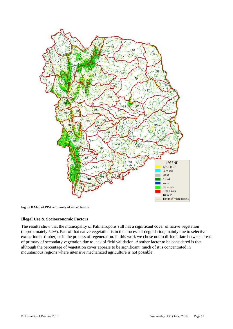

Figure 8 Map of PPA and limits of micro basins

#### <span id="page-17-0"></span>**Illegal Use & Socioeconomic Factors**

<span id="page-17-1"></span>The results show that the municipality of Palmeiropolis still has a significant cover of native vegetation (approximately 54%). Part of that native vegetation is in the process of degradation, mainly due to selective extraction of timber, or in the process of regeneration. In this work we chose not to differentiate between areas of primary of secondary vegetation due to lack of field validation. Another factor to be considered is that although the percentage of vegetation cover appears to be significant, much of it is concentrated in mountainous regions where intensive mechanized agriculture is not possible.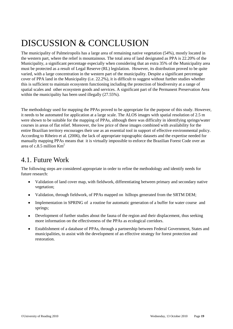# DISCUSSION & CONCLUSION

The municipality of Palmeiropolis has a large area of remaining native vegetation (54%), mostly located in the western part, where the relief is mountainous. The total area of land designated as PPA is 22.20% of the Municipality, a significant percentage especially when considering that an extra 35% of the Municipality area must be protected as a result of Legal Reserve (RL) legislation. However, its distribution proved to be quite varied, with a large concentration in the western part of the municipality. Despite a significant percentage cover of PPA land in the Municipality (i.e. 22.2%), it is difficult to suggest without further studies whether this is sufficient to maintain ecosystem functioning including the protection of biodiversity at a range of spatial scales and other ecosystem goods and services. A significant part of the Permanent Preservation Area within the municipality has been used illegally  $(27.55\%)$ .

The methodology used for mapping the PPAs proved to be appropriate for the purpose of this study. However, it needs to be automated for application at a large scale. The ALOS images with spatial resolution of 2.5 m were shown to be suitable for the mapping of PPAs, although there was difficulty in identifying springs/water courses in areas of flat relief. Moreover, the low price of these images combined with availability for the entire Brazilian territory encourages their use as an essential tool in support of effective environmental policy. According to Ribeiro et al. (2006), the lack of appropriate topographic datasets and the expertise needed for manually mapping PPAs means that it is virtually impossible to enforce the Brazilian Forest Code over an area of c.8.5 million  $Km^2$ 

## <span id="page-18-0"></span>4.1. Future Work

The following steps are considered appropriate in order to refine the methodology and identify needs for future research:

- Validation of land cover map, with fieldwork, differentiating between primary and secondary native vegetation;
- Validation, through fieldwork, of PPAs mapped on hilltops generated from the SRTM DEM;
- Implementation in SPRING of a routine for automatic generation of a buffer for water course and springs;
- Development of further studies about the fauna of the region and their displacement, thus seeking more information on the effectiveness of the PPAs as ecological corridors.
- Establishment of a database of PPAs, through a partnership between Federal Government, States and  $\bullet$ municipalities, to assist with the development of an effective strategy for forest protection and restoration.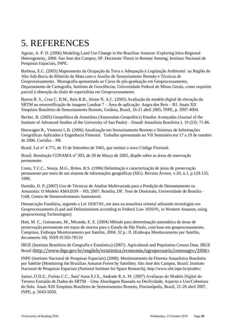# <span id="page-19-0"></span>5. REFERENCES

Aguiar, A. P. D. (2006) Modeling Land Use Change in the Brazilian Amazon: Exploring Intra-Regional Heterogeneity, 2006. Sao Jose dos Campos, SP. Doctorate Thesis in Remote Sensing, Instituto Nacional de Pesquisas Espaciais, INPE.

Barbosa, E.C. (2003) Mapeamento da Ocupação da Terra e Adequação à Legislação Ambiental na Região do Alto Sub-Bacia do Ribeirão da Mata com o Auxilio de Sensoriamento Remoto e Técnicas de Geoprocessamento. Monografia apresentada ao Curso de pós-graduação em Geoprocessamento, Departamento de Cartografia, Instituto de Geociências, Universidade Federal de Minas Gerais, como requisito parcial à obtenção do título de especialista em Geoprocessamento.

Barros R. S., Cruz C. B.M., Reis R.B., Júnior N. A.C. (2005) Avaliação do modelo digital de elevação do SRTM na ortorretificação de imagens Landsat 7 – Área de aplicação: Angra dos Reis – RJ. Anais XII Simpósio Brasileiro de Sensoriamento Remoto, Goiânia, Brasil, 16-21 abril 2005, INPE, p. 3997-4004.

Becker, B. (2005) Geopolítica da Amazônia (Amazonian Geopolitics) Estudos Avançados (Journal of the Institute of Advanced Studies of the University of Sao Paulo) – Dossiê Amazônia Brasileira I, 19 (53): 71-86.

Bierwagen R., Ventorin L.B. (2006) Atualização em Sensoriamento Remoto e Sistemas de Informações Geográficas Aplicados à Engenharia Florestal. Trabalho apresentado no VII Seminário em 17 a 19 de outubro de 2006. Curitiba – PR.

Brasil. Lei n° 4.771, de 15 de Setembro de 1965, que institui o novo Código Florestal.

Brasil. Resolução CONAMA n° 303, de 20 de Março de 2002, dispõe sobre as áreas de reservação permanente.

Costa, T.C.C., Souza, M.G., Brites, R.S. (1996) Delimitação e caracterização de áreas de preservação permanente por meio de um sistema de informações geográficas (SIG). Revista Árvore, v.20, n.1, p.129-135, 1996.

Damião, D. P.,(2007) Uso de Técnicas de Analise Multivariada para a Predição de Desmatamento na Amazonia: O Modelo AMAZON – PD, 2007. Brasilia, DF. Tese de Doutorato, Universidade de Brasilia - UnB, Centro de Desenvolvimento Sustentavel.

Demarcação Fundiária, segundo a Lei 10267/01, em área na amazônia oriental utlizando tecnologias em Geoprocessamento (Land and Delimitationm according to Federal Law 1026/91, in Western Amazon, using geoprocessing Technologies)

Hott, M. C., Guimaraes, M., Miranda, E. E. (2004) Método para determinação automática de áreas de preservação permanente em topos de morros para o Estado de São Paulo, com base em geoprocessamento. Campinas, Embrapa Monitoramento por Satelite, 2004. 32 p.: Il. (Embrapa Monitoramento por Satelite, documento 34). ISSN 01103-78110

IBGE [\(Instituto Brasileiro de Geografia e Estatística\)](http://www.ibge.gov.br/) (2007). Agricultural and Population Census Data. IBGE Brasil (<http://www.ibge.gov.br/english/estatistica/economia/agropecuaria/censoagro/2006>).

INPE (Instituto Nacional de Pesquisas Espaciais) (2008). Monitoramento da Floresta Amazônica Brasileira por Satélite (Monitoring the Brazilian Amazon Forest by Satellite). São José dos Campos, Brazil: Instituto Nacional de Pesquisas Espaciais (National Institute for Space Research), http://www.obt.inpe.br/prodes/.

Junior, O.D.Z., Freitas C.C., Sant'Anna S.J.S., Andrade R.A. M. (2007) Avaliacao do Modelo Digital do Terreno Extraido de Dados do SRTM – Uma Abordagem Baseada na Declividade, Aspecto e Uso/Cobertura do Solo. Anais XIII Simpósio Brasileiro de Sensoriamento Remoto, Florianópolis, Brasil, 21-26 abril 2007, INPE, p. 5043-5050.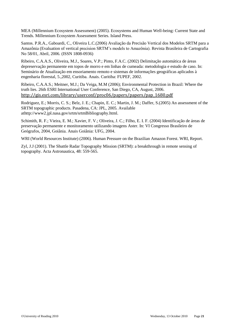MEA (Millennium Ecosystem Assessment) (2005). Ecosystems and Human Well-being: Current State and Trends. Millennium Ecosystem Assessment Series. Island Press.

Santos. P.R.A., Gaboardi, C., Oliveira L.C.(2006) Avaliação da Precisão Vertical dos Modelos SRTM para a Amazônia (Evaluation of vertical precision SRTM's models to Amazônia). Revista Brasileira de Cartografia No 58/01, Abril, 2006. (ISSN 1808-0936)

Ribeiro, C.A.A.S., Oliveira, M.J., Soares, V.P.; Pinto, F.A.C. (2002) Delimitação automática de áreas depreservação permanente em topos de morro e em linhas de cumeada: metodologia e estudo de caso. In: Seminário de Atualização em ensoriamento remoto e sistemas de informações geográficas aplicados à engenharia florestal, 5.,2002, Curitiba. Anais. Curitiba: FUPEF, 2002.

Ribeiro, C.A.A.S.; Meitner, M.J.; Da Veiga, M.M (2006); Environmental Protection in Brazil: Where the truth lies. 26th ESRI International User Conference, San Diego, CA, August, 2006. [http://gis.esri.com/library/userconf/proc06/papers/papers/pap\\_1680.pdf](http://gis.esri.com/library/userconf/proc06/papers/papers/pap_1680.pdf)

Rodriguez, E.; Morris, C. S.; Belz, J. E.; Chapin, E. C.; Martin, J. M.; Daffer, S.(2005) An assessment of the SRTM topographic products. Pasadena, CA: JPL, 2005. Available athttp://www2.jpl.nasa.gov/srtm/srtmBibliography.html.

Schimith, R. F.; Vieira, E. M.; Xavier, F. V.; Oliveira, J. C.; Filho, E. I. F. (2004) Identificação de áreas de preservação permanente e monitoramento utilizando imagens Aster. In: VI Congresso Brasileiro de Geógrafos, 2004, Goiânia. Anais Goiânia: UFG, 2004.

WRI (World Resources Institute) (2006). Human Pressure on the Brazilian Amazon Forest. WRI, Report.

Zyl, J.J (2001). The Shuttle Radar Topography Mission (SRTM): a breakthrough in remote sensing of topography. Acta Astronautica, 48: 559-565.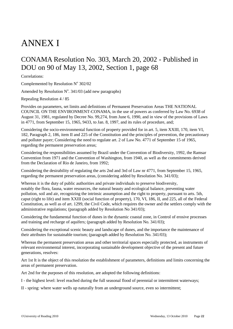# <span id="page-21-0"></span>ANNEX I

## <span id="page-21-1"></span>CONAMA Resolution No. 303, March 20, 2002 - Published in DOU on 90 of May 13, 2002, Section 1, page 68

Correlations:

Complemented by Resolution  $N^{\circ}$  302/02

Amended by Resolution  $N^{\circ}$ . 341/03 (add new paragraphs)

Repealing Resolution 4 / 85

Provides on parameters, set limits and definitions of Permanent Preservation Areas THE NATIONAL COUNCIL ON THE ENVIRONMENT-CONAMA, in the use of powers as conferred by Law No. 6938 of August 31, 1981, regulated by Decree No. 99,274, from June 6, 1990, and in view of the provisions of Laws in 4771, from September 15, 1965, 9433, to Jan. 8, 1997, and its rules of procedure, and;

Considering the socio-environmental function of property provided for in art. 5, item XXIII, 170, item VI, 182, Paragraph 2, 186, item II and 225 of the Constitution and the principles of prevention, the precautionary and polluter payer; Considering the need to regulate art. 2 of Law No. 4771 of September 15 of 1965, regarding the permanent preservation areas;

Considering the responsibilities assumed by Brazil under the Convention of Biodiversity, 1992, the Ramsar Convention from 1971 and the Convention of Washington, from 1940, as well as the commitments derived from the Declaration of Rio de Janeiro, from 1992;

Considering the desirability of regulating the arts 2nd and 3rd of Law nr 4771, from September 15, 1965, regarding the permanent preservation areas, (considering added by Resolution No. 341/03);

Whereas it is the duty of public authorities and private individuals to preserve biodiversity, notably the flora, fauna, water resources, the natural beauty and ecological balance, preventing water pollution, soil and air, recognizing the intrinsic assumption and the right to property, pursuant to arts. 5th, caput (right to life) and item XXIII (social function of property), 170, VI, 186, II, and 225, all of the Federal Constitution, as well as of art. 1299, the Civil Code, which requires the owner and the settlers comply with the administrative regulations; (paragraph added by Resolution No 341/03);

Considering the fundamental function of dunes in the dynamic coastal zone, in Control of erosive processes and training and recharge of aquifers; (paragraph added by Resolution No. 341/03);

Considering the exceptional scenic beauty and landscape of dunes, and the importance the maintenance of their attributes for sustainable tourism; (paragraph added by Resolution No. 341/03);

Whereas the permanent preservation areas and other territorial spaces especially protected, as instruments of relevant environmental interest, incorporating sustainable development objective of the present and future generations, resolves:

Art 1st It is the object of this resolution the establishment of parameters, definitions and limits concerning the areas of permanent preservation.

Art 2nd for the purposes of this resolution, are adopted the following definitions:

I - the highest level: level reached during the full seasonal flood of perennial or intermittent waterways;

II - spring: where water wells up naturally from an underground source, even so intermittent;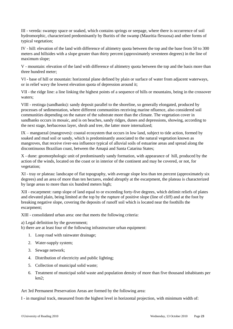III - vereda: swampy space or soaked, which contains springs or seepage, where there is occurrence of soil hydromorphic, characterized predominantly by Buritis of the swamp (Mauritia flexuosa) and other forms of typical vegetation;

IV - hill: elevation of the land with difference of altimetry quota between the top and the base from 50 to 300 meters and hillsides with a slope greater than thirty percent (approximately seventeen degrees) in the line of maximum slope;

V - mountain: elevation of the land with difference of altimetry quota between the top and the basis more than three hundred meter;

VI - base of hill or mountain: horizontal plane defined by plain or surface of water from adjacent waterways, or in relief wavy the lowest elevation quota of depression around it;

VII - the ridge line: a line linking the highest points of a sequence of hills or mountains, being in the crossover waters;

VIII - restinga (sandbanks): sandy deposit parallel to the shoreline, so generally elongated, produced by processes of sedimentation, where different communities receiving marine nfluence, also considered soil communities depending on the nature of the substrate more than the climate. The vegetation cover in sandbanks occurs in mosaic, and is on beaches, sandy ridges, dunes and depressions, showing, according to the next stage, herbaceous layer, shrub and tree, the latter more internalized;

IX – manguezal (mangroves): coastal ecosystem that occurs in low land, subject to tide action, formed by soaked and mud soil or sandy, which is predominantly associated to the natural vegetation known as mangroves, that receive river-sea influence typical of alluvial soils of estuarine areas and spread along the discontinuous Brazilian coast, between the Amapá and Santa Catarina States;

X - dune: geomorphologic unit of predominantly sandy formation, with appearance of hill, produced by the action of the winds, located on the coast or in interior of the continent and may be covered, or not, for vegetation;

XI - tray or plateau: landscape of flat topography, with average slope less than ten percent (approximately six degrees) and an area of more than ten hectares, ended abruptly at the escarpment, the plateau is characterized by large areas to more than six hundred meters high;

XII - escarpment: ramp slope of land equal to or exceeding forty-five degrees, which delimit reliefs of plates and elevated plain, being limited at the top by the rupture of positive slope (line of cliff) and at the foot by breaking negative slope, covering the deposits of runoff soil which is located near the foothills the escarpment;

XIII - consolidated urban area: one that meets the following criteria:

a) Legal definition by the government;

b) there are at least four of the following infrastructure urban equipment:

- 1. Loop road with rainwater drainage;
- 2. Water-supply system;
- 3. Sewage network;
- 4. Distribution of electricity and public lighting;
- 5. Collection of municipal solid waste;
- 6. Treatment of municipal solid waste and population density of more than five thousand inhabitants per km2;

Art 3rd Permanent Preservation Areas are formed by the following area:

I - in marginal track, measured from the highest level in horizontal projection, with minimum width of: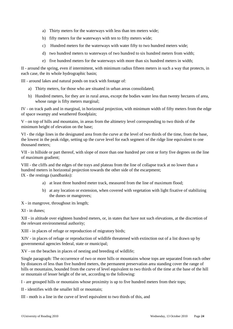- a) Thirty meters for the waterways with less than ten meters wide;
- b) fifty meters for the waterways with ten to fifty meters wide;
- c) Hundred meters for the waterways with water fifty to two hundred meters wide;
- d) two hundred meters to waterways of two hundred to six hundred meters from width;
- e) five hundred meters for the waterways with more than six hundred meters in width;

II - around the spring, even if intermittent, with minimum radius fifteen meters in such a way that protects, in each case, the its whole hydrographic basin;

III - around lakes and natural ponds on track with footage of:

- a) Thirty meters, for those who are situated in urban areas consolidated;
- b) Hundred meters, for they are in rural areas, except the bodies water less than twenty hectares of area, whose range is fifty meters marginal;

IV - on track path and in marginal, in horizontal projection, with minimum width of fifty meters from the edge of space swampy and weathered floodplain;

V - on top of hills and mountains, in areas from the altimetry level corresponding to two thirds of the minimum height of elevation on the base;

VI - the ridge lines in the designated area from the curve at the level of two thirds of the time, from the base, the lowest in the peak ridge, setting up the curve level for each segment of the ridge line equivalent to one thousand meters;

VII - in hillside or part thereof, with slope of more than one hundred per cent or forty five degrees on the line of maximum gradient;

VIII - the cliffs and the edges of the trays and plateau from the line of collapse track at no lower than a hundred meters in horizontal projection towards the other side of the escarpment; IX - the restinga (sandbanks):

- a) at least three hundred meter track, measured from the line of maximum flood;
- b) at any location or extension, when covered with vegetation with light fixative of stabilizing the dunes or mangroves;

X - in mangrove, throughout its length;

XI - in dunes;

XII - in altitude over eighteen hundred meters, or, in states that have not such elevations, at the discretion of the relevant environmental authority;

XIII - in places of refuge or reproduction of migratory birds;

XIV - in places of refuge or reproduction of wildlife threatened with extinction out of a list drawn up by governmental agencies federal, state or municipal;

XV - on the beaches in places of nesting and breeding of wildlife;

Single paragraph: The occurrence of two or more hills or mountains whose tops are separated from each other by distances of less than five hundred meters, the permanent preservation area standing cover the range of hills or mountains, bounded from the curve of level equivalent to two thirds of the time at the base of the hill or mountain of lesser height of the set, according to the following:

I - are grouped hills or mountains whose proximity is up to five hundred meters from their tops;

II - identifies with the smaller hill or mountain;

III - moth is a line in the curve of level equivalent to two thirds of this, and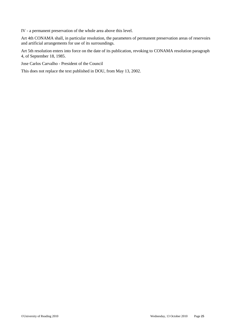IV - a permanent preservation of the whole area above this level.

Art 4th CONAMA shall, in particular resolution, the parameters of permanent preservation areas of reservoirs and artificial arrangements for use of its surroundings.

Art 5th resolution enters into force on the date of its publication, revoking to CONAMA resolution paragraph 4, of September 18, 1985.

Jose Carlos Carvalho - President of the Council

This does not replace the text published in DOU, from May 13, 2002.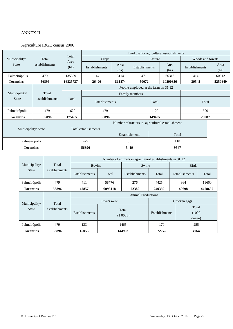#### <span id="page-25-1"></span><span id="page-25-0"></span>ANNEX II

#### Agriculture IBGE census 2006

|                     |                |              |                      | Land use for agricultural establishments |                                                  |        |              |                   |              |
|---------------------|----------------|--------------|----------------------|------------------------------------------|--------------------------------------------------|--------|--------------|-------------------|--------------|
| Municipality/       | Total          | Total        | Crops                |                                          | Pasture                                          |        |              | Woods and forests |              |
| <b>State</b>        | establishments | Area<br>(ha) | Establishments       | Area<br>(ha)                             | Establishments                                   |        | Area<br>(ha) | Establishments    | Area<br>(ha) |
| Palmeirópolis       | 479            | 135399       | 144                  | 3114                                     | 471                                              |        | 66316        | 414               | 60512        |
| <b>Tocantins</b>    | 56896          | 16825737     | 26490                | 811874                                   | 50072                                            |        | 10290856     | 39545             | 5250649      |
|                     |                |              |                      |                                          | People employed at the farm on 31.12             |        |              |                   |              |
| Municipality/       | Total          |              | Family members       |                                          |                                                  |        |              |                   |              |
| <b>State</b>        | establishments | Total        | Establishments       |                                          | Total                                            |        |              | Total             |              |
| Palmeirópolis       | 479            | 1620         | 479                  |                                          | 1120                                             |        | 500          |                   |              |
| <b>Tocantins</b>    | 56896          | 175405       | 56896                |                                          |                                                  | 149405 |              | 25987             |              |
| Municipality/ State |                |              | Total establishments |                                          | Number of tractors in agricultural establishment |        |              |                   |              |
|                     |                |              |                      | Establishments                           |                                                  | Total  |              |                   |              |
|                     | Palmeirópolis  |              | 479                  | 85                                       |                                                  | 118    |              |                   |              |
| <b>Tocantins</b>    |                |              | 56896                | 5419                                     |                                                  | 9547   |              |                   |              |

|                                        |                | Number of animals in agricultural establishments in 31.12 |                   |                |              |                                                    |              |  |
|----------------------------------------|----------------|-----------------------------------------------------------|-------------------|----------------|--------------|----------------------------------------------------|--------------|--|
| Municipality/                          | Total          | Bovine                                                    |                   | Swine          |              |                                                    | <b>Birds</b> |  |
| <b>State</b>                           | establishments | Establishments                                            | Total             | Establishments | Total        | Establishments                                     | Total        |  |
| Palmeirópolis                          | 479            | 411                                                       | 58776             | 276            | 4425         | 364                                                | 19660        |  |
| <b>Tocantins</b>                       | 56896          | 42857                                                     | 6093118           | 22389          | 249350       | 40698                                              | 4478687      |  |
|                                        |                | <b>Animal Productions</b>                                 |                   |                |              |                                                    |              |  |
|                                        |                |                                                           | Cow's milk        |                | Chicken eggs |                                                    |              |  |
| Municipality/<br>Total<br><b>State</b> | establishments | Establishments                                            | Total<br>(1 0001) |                |              | Total<br><b>Establishments</b><br>(1000)<br>dozen) |              |  |
| Palmeirópolis                          | 479            | 133                                                       | 1465              |                | 170          | 255                                                |              |  |
| <b>Tocantins</b>                       | 56896          | 15053                                                     |                   | 144903         | 22775        | 4064                                               |              |  |